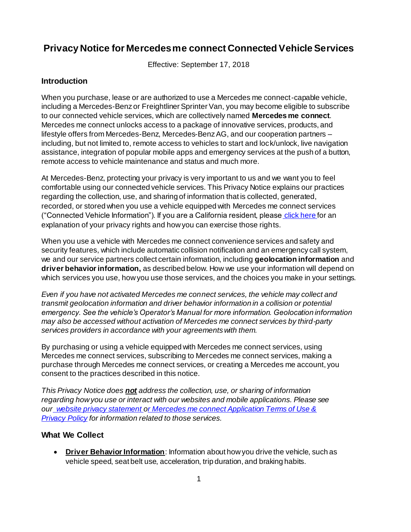# **Privacy Notice for Mercedes me connect Connected Vehicle Services**

Effective: September 17, 2018

## **Introduction**

When you purchase, lease or are authorized to use a Mercedes me connect-capable vehicle, including a Mercedes-Benz or Freightliner Sprinter Van, you may become eligible to subscribe to our connected vehicle services, which are collectively named **Mercedes me connect**. Mercedes me connect unlocks access to a package of innovative services, products, and lifestyle offers from Mercedes-Benz, Mercedes-Benz AG, and our cooperation partners – including, but not limited to, remote access to vehicles to start and lock/unlock, live navigation assistance, integration of popular mobile apps and emergency services at the push of a button, remote access to vehicle maintenance and status and much more.

At Mercedes-Benz, protecting your privacy is very important to us and we want you to feel comfortable using our connected vehicle services. This Privacy Notice explains our practices regarding the collection, use, and sharing of information that is collected, generated, recorded, or stored when you use a vehicle equipped with Mercedes me connect services ("Connected Vehicle Information"). If you are a California resident, please [click here](https://www.mbusa.com/en/legal-notices/ccpa) for an explanation of your privacy rights and how you can exercise those rights.

When you use a vehicle with Mercedes me connect convenience services and safety and security features, which include automatic collision notification and an emergency call system, we and our service partners collect certain information, including **geolocation information** and **driver behavior information,** as described below. How we use your information will depend on which services you use, how you use those services, and the choices you make in your settings.

*Even if you have not activated Mercedes me connect services, the vehicle may collect and transmit geolocation information and driver behavior information in a collision or potential emergency. See the vehicle's Operator's Manual for more information. Geolocation information may also be accessed without activation of Mercedes me connect services by third-party services providers in accordance with your agreements with them.*

By purchasing or using a vehicle equipped with Mercedes me connect services, using Mercedes me connect services, subscribing to Mercedes me connect services, making a purchase through Mercedes me connect services, or creating a Mercedes me account, you consent to the practices described in this notice.

*This Privacy Notice does not address the collection, use, or sharing of information regarding how you use or interact with our websites and mobile applications. Please see our [website privacy statement](https://www.mbusa.com/en/legal-notices/privacy-statement) [or](https://www.mbusa.com/content/dam/mb-nafta/us/legal/MMC_App_Terms_Nov2020.pdf) Mercedes me connect Application Terms of Use & Privacy Policy for information related to those services.*

### **What We Collect**

 **Driver Behavior Information**: Information about how you drive the vehicle, such as vehicle speed, seat belt use, acceleration, trip duration, and braking habits.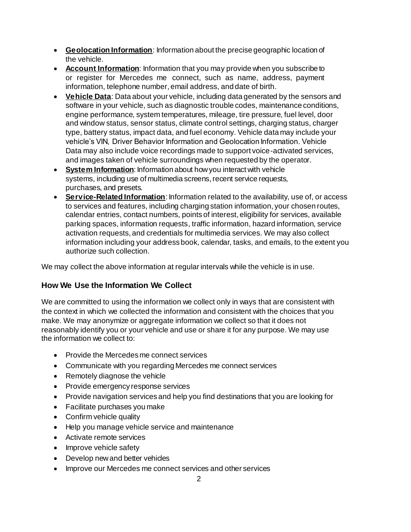- **Geolocation Information**: Information about the precise geographic location of the vehicle.
- **Account Information**: Information that you may provide when you subscribe to or register for Mercedes me connect, such as name, address, payment information, telephone number, email address, and date of birth.
- **Vehicle Data**: Data about your vehicle, including data generated by the sensors and software in your vehicle, such as diagnostic trouble codes, maintenance conditions, engine performance, system temperatures, mileage, tire pressure, fuel level, door and window status, sensor status, climate control settings, charging status, charger type, battery status, impact data, and fuel economy. Vehicle data may include your vehicle's VIN, Driver Behavior Information and Geolocation Information. Vehicle Data may also include voice recordings made to support voice-activated services, and images taken of vehicle surroundings when requested by the operator.
- **System Information:** Information about how you interact with vehicle systems, including use of multimedia screens, recent service requests, purchases, and presets.
- **Service-Related Information**: Information related to the availability, use of, or access to services and features, including charging station information, your chosen routes, calendar entries, contact numbers, points of interest, eligibility for services, available parking spaces, information requests, traffic information, hazard information, service activation requests, and credentials for multimedia services. We may also collect information including your address book, calendar, tasks, and emails, to the extent you authorize such collection.

We may collect the above information at regular intervals while the vehicle is in use.

# **How We Use the Information We Collect**

We are committed to using the information we collect only in ways that are consistent with the context in which we collected the information and consistent with the choices that you make. We may anonymize or aggregate information we collect so that it does not reasonably identify you or your vehicle and use or share it for any purpose. We may use the information we collect to:

- Provide the Mercedes me connect services
- Communicate with you regarding Mercedes me connect services
- Remotely diagnose the vehicle
- Provide emergency response services
- Provide navigation services and help you find destinations that you are looking for
- Facilitate purchases you make
- Confirm vehicle quality
- Help you manage vehicle service and maintenance
- Activate remote services
- Improve vehicle safety
- Develop new and better vehicles
- Improve our Mercedes me connect services and other services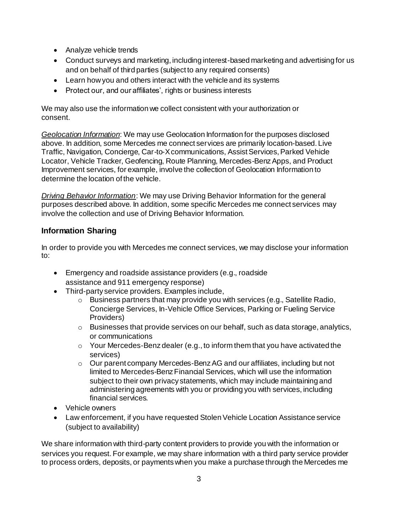- Analyze vehicle trends
- Conduct surveys and marketing, including interest-based marketing and advertising for us and on behalf of third parties (subject to any required consents)
- Learn how you and others interact with the vehicle and its systems
- Protect our, and our affiliates', rights or business interests

We may also use the information we collect consistent with your authorization or consent.

*Geolocation Information*: We may use Geolocation Information for the purposes disclosed above. In addition, some Mercedes me connect services are primarily location-based. Live Traffic, Navigation, Concierge, Car-to-X communications, Assist Services, Parked Vehicle Locator, Vehicle Tracker, Geofencing, Route Planning, Mercedes-Benz Apps, and Product Improvement services, for example, involve the collection of Geolocation Information to determine the location of the vehicle.

*Driving Behavior Information*: We may use Driving Behavior Information for the general purposes described above. In addition, some specific Mercedes me connect services may involve the collection and use of Driving Behavior Information.

# **Information Sharing**

In order to provide you with Mercedes me connect services, we may disclose your information to:

- Emergency and roadside assistance providers (e.g., roadside assistance and 911 emergency response)
- Third-party service providers. Examples include,
	- o Business partners that may provide you with services (e.g., Satellite Radio, Concierge Services, In-Vehicle Office Services, Parking or Fueling Service Providers)
	- $\circ$  Businesses that provide services on our behalf, such as data storage, analytics, or communications
	- $\circ$  Your Mercedes-Benz dealer (e.g., to inform them that you have activated the services)
	- $\circ$  Our parent company Mercedes-Benz AG and our affiliates, including but not limited to Mercedes-Benz Financial Services, which will use the information subject to their own privacy statements, which may include maintaining and administering agreements with you or providing you with services, including financial services.
- Vehicle owners
- Law enforcement, if you have requested Stolen Vehicle Location Assistance service (subject to availability)

We share information with third-party content providers to provide you with the information or services you request. For example, we may share information with a third party service provider to process orders, deposits, or payments when you make a purchase through the Mercedes me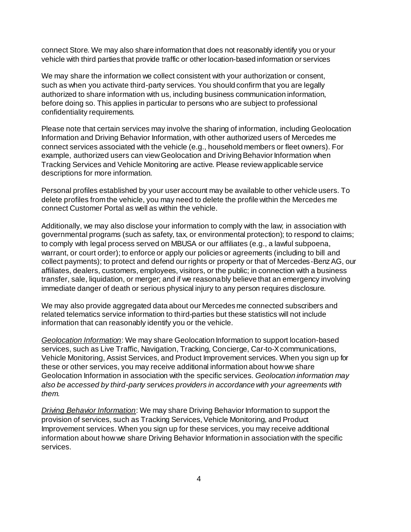connect Store. We may also share information that does not reasonably identify you or your vehicle with third parties that provide traffic or other location-based information or services

We may share the information we collect consistent with your authorization or consent, such as when you activate third-party services. You should confirm that you are legally authorized to share information with us, including business communication information, before doing so. This applies in particular to persons who are subject to professional confidentiality requirements.

Please note that certain services may involve the sharing of information, including Geolocation Information and Driving Behavior Information, with other authorized users of Mercedes me connect services associated with the vehicle (e.g., household members or fleet owners). For example, authorized users can view Geolocation and Driving Behavior Information when Tracking Services and Vehicle Monitoring are active. Please review applicable service descriptions for more information.

Personal profiles established by your user account may be available to other vehicle users. To delete profiles from the vehicle, you may need to delete the profile within the Mercedes me connect Customer Portal as well as within the vehicle.

Additionally, we may also disclose your information to comply with the law; in association with governmental programs (such as safety, tax, or environmental protection); to respond to claims; to comply with legal process served on MBUSA or our affiliates (e.g., a lawful subpoena, warrant, or court order); to enforce or apply our policies or agreements (including to bill and collect payments); to protect and defend our rights or property or that of Mercedes-Benz AG, our affiliates, dealers, customers, employees, visitors, or the public; in connection with a business transfer, sale, liquidation, or merger; and if we reasonably believe that an emergency involving immediate danger of death or serious physical injury to any person requires disclosure.

We may also provide aggregated data about our Mercedes me connected subscribers and related telematics service information to third-parties but these statistics will not include information that can reasonably identify you or the vehicle.

*Geolocation Information*: We may share Geolocation Information to support location-based services, such as Live Traffic, Navigation, Tracking, Concierge, Car-to-X communications, Vehicle Monitoring, Assist Services, and Product Improvement services. When you sign up for these or other services, you may receive additional information about how we share Geolocation Information in association with the specific services. *Geolocation information may also be accessed by third-party services providers in accordance with your agreements with them.*

*Driving Behavior Information*: We may share Driving Behavior Information to support the provision of services, such as Tracking Services, Vehicle Monitoring, and Product Improvement services. When you sign up for these services, you may receive additional information about how we share Driving Behavior Information in association with the specific services.